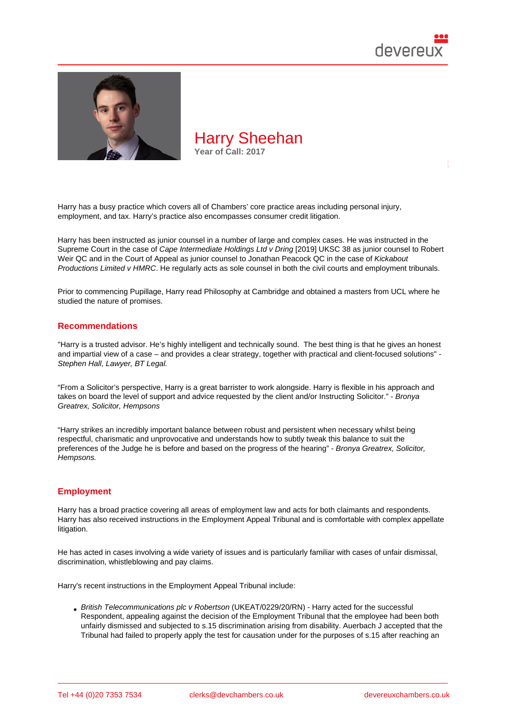

Harry has a busy practice which covers all of Chambers' core practice areas including personal injury, employment, and tax. Harry's practice also encompasses consumer credit litigation.

Harry has been instructed as junior counsel in a number of large and complex cases. He was instructed in the Supreme Court in the case of Cape Intermediate Holdings Ltd v Dring [2019] UKSC 38 as junior counsel to Robert Weir QC and in the Court of Appeal as junior counsel to Jonathan Peacock QC in the case of Kickabout Productions Limited v HMRC. He regularly acts as sole counsel in both the civil courts and employment tribunals.

Prior to commencing Pupillag[e, Harry read Philosophy at Cambridge a](http://bit.ly/2IrgLkd)nd obtained a masters from UCL where he studied the nature of promises.

#### Recommendations

"Harry is a trusted advisor. He's highly intelligent and technically sound. The best thing is that he gives an honest and impartial view of a case – and provides a clear strategy, together with practical and client-focused solutions" - Stephen Hall, Lawyer, BT Legal.

"From a Solicitor's perspective, Harry is a great barrister to work alongside. Harry is flexible in his approach and takes on board the level of support and advice requested by the client and/or Instructing Solicitor." - Bronya Greatrex, Solicitor, Hempsons

"Harry strikes an incredibly important balance between robust and persistent when necessary whilst being respectful, charismatic and unprovocative and understands how to subtly tweak this balance to suit the preferences of the Judge he is before and based on the progress of the hearing" - Bronya Greatrex, Solicitor, Hempsons.

### **Employment**

Harry has a broad practice covering all areas of employment law and acts for both claimants and respondents. Harry has also received instructions in the Employment Appeal Tribunal and is comfortable with complex appellate litigation.

He has acted in cases involving a wide variety of issues and is particularly familiar with cases of unfair dismissal, discrimination, whistleblowing and pay claims.

Harry's recent instructions in the Employment Appeal Tribunal include:

British Telecommunications plc v Robertson (UKEAT/0229/20/RN) - Harry acted for the successful Respondent, appealing against the decision of the Employment Tribunal that the employee had been both unfairly dismissed and subjected to s.15 discrimination arising from disability. Auerbach J accepted that the Tribunal had failed to properly apply the test for causation under for the purposes of s.15 after reaching an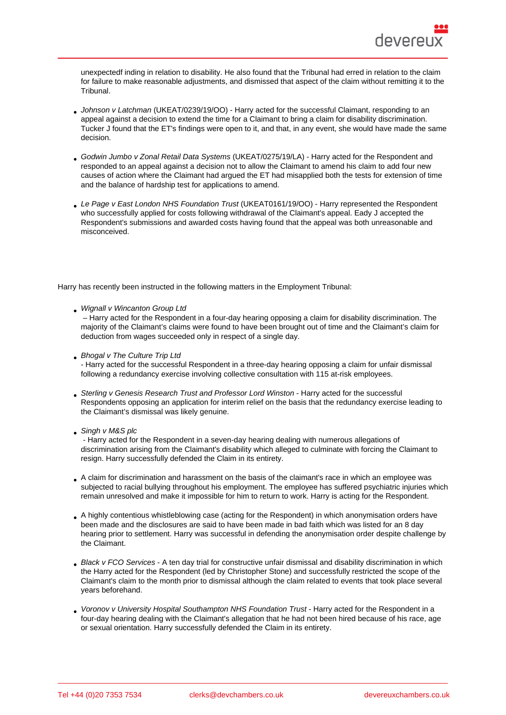unexpectedf inding in relation to disability. He also found that the Tribunal had erred in relation to the claim for failure to make reasonable adjustments, and dismissed that aspect of the claim without remitting it to the Tribunal.

- Johnson v Latchman (UKEAT/0239/19/OO) Harry acted for the successful Claimant, responding to an appeal against a decision to extend the time for a Claimant to bring a claim for disability discrimination. Tucker J found that the ET's findings were open to it, and that, in any event, she would have made the same decision.
- Godwin Jumbo v Zonal Retail Data Systems (UKEAT/0275/19/LA) Harry acted for the Respondent and responded to an appeal against a decision not to allow the Claimant to amend his claim to add four new causes of action where the Claimant had argued the ET had misapplied both the tests for extension of time and the balance of hardship test for applications to amend.
- [Le Page v East London NHS Foundation Tru](https://www.gov.uk/employment-appeal-tribunal-decisions/mr-g-jumbo-v-zonal-retail-data-systems-ukeat-0275-19-la)st (UKEAT0161/19/OO) Harry represented the Respondent who successfully applied for costs following withdrawal of the Claimant's appeal. Eady J accepted the Respondent's submissions and awarded costs having found that the appeal was both unreasonable and misconceived.

Harry has recently been instructed in the following matters in the Employment Tribunal:

Wignall v Wincanton Group Ltd

 – Harry acted for the Respondent in a four-day hearing opposing a claim for disability discrimination. The majority of the Claimant's claims were found to have been brought out of time and the Claimant's claim for deduction from wages succeeded only in respect of a single day.

- [Bhogal v The Culture Trip Ltd](https://www.gov.uk/employment-tribunal-decisions/mr-p-wignall-v-wincanton-group-ltd-1803041-slash-2020) - Harry acted for the successful Respondent in a three-day hearing opposing a claim for unfair dismissal following a redundancy exercise involving collective consultation with 115 at-risk employees.
- [Sterling v Genesis Research T](https://www.gov.uk/employment-tribunal-decisions/mr-s-s-bhogal-v-the-culture-trip-ltd-2207670)rust and Professor Lord Winston Harry acted for the successful Respondents opposing an application for interim relief on the basis that the redundancy exercise leading to the Claimant's dismissal was likely genuine.
- Singh v M&S plc

 [- Harry acted for the Respondent in a seven-day hearing dealin](https://www.gov.uk/employment-tribunal-decisions/ms-d-sterling-v-genesis-research-trust-and-professor-lord-winston-2204906-2020)g with numerous allegations of discrimination arising from the Claimant's disability which alleged to culminate with forcing the Claimant to resign. Harry successfully defended the Claim in its entirety.

- A claim for discrimination and harassment on the basis of the claimant's race in which an employee was subjected to racial bullying throughout his employment. The employee has suffered psychiatric injuries which remain unresolved and make it impossible for him to return to work. Harry is acting for the Respondent.
- A highly contentious whistleblowing case (acting for the Respondent) in which anonymisation orders have been made and the disclosures are said to have been made in bad faith which was listed for an 8 day hearing prior to settlement. Harry was successful in defending the anonymisation order despite challenge by the Claimant.
- Black v FCO Services A ten day trial for constructive unfair dismissal and disability discrimination in which the Harry acted for the Respondent (led by Christopher Stone) and successfully restricted the scope of the Claimant's claim to the month prior to dismissal although the claim related to events that took place several years beforehand.
- [Voronov v University H](http://bit.ly/2wxlpdR)ospital Southampton NHS Foundation Trust Harry acted for the Respondent in a four-day hearing dealing with the Claimant's allegation that he had not been hired because of his race, age or sexual orientation. Harry successfully defended the Claim in its entirety.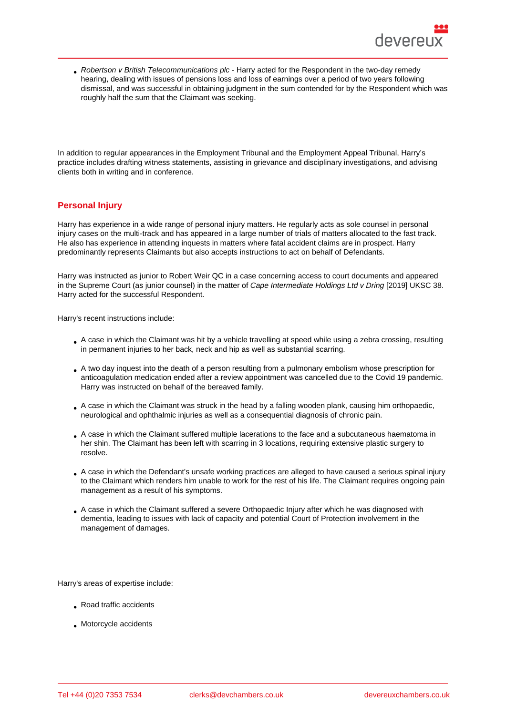Robertson v British Telecommunications plc - Harry acted for the Respondent in the two-day remedy hearing, dealing with issues of pensions loss and loss of earnings over a period of two years following dismissal, and was successful in obtaining judgment in the sum contended for by the Respondent which was roughly half the sum that the Claimant was seeking.

In addition to regular appearances in the Employment Tribunal and the Employment Appeal Tribunal, Harry's practice includes drafting witness statements, assisting in grievance and disciplinary investigations, and advising clients both in writing and in conference.

# Personal Injury

Harry has experience in a wide range of personal injury matters. He regularly acts as sole counsel in personal injury cases on the multi-track and has appeared in a large number of trials of matters allocated to the fast track. He also has experience in attending inquests in matters where fatal accident claims are in prospect. Harry predominantly represents Claimants but also accepts instructions to act on behalf of Defendants.

Harry was instructed as junior to Robert Weir QC in a case concerning access to court documents and appeared in the Supreme Court (as junior counsel) in the matter of Cape Intermediate Holdings Ltd v Dring [2019] UKSC 38. Harry acted for the successful Respondent.

Harry's recent instructions include:

- A case in which the Claimant was hit by a vehicle travelling at speed while using a zebra crossing, resulting in permanent injuries to her back, neck and hip as well as substantial scarring.
- A two day inquest into the death of a person resulting from a pulmonary embolism whose prescription for anticoagulation medication ended after a review appointment was cancelled due to the Covid 19 pandemic. Harry was instructed on behalf of the bereaved family.
- A case in which the Claimant was struck in the head by a falling wooden plank, causing him orthopaedic, neurological and ophthalmic injuries as well as a consequential diagnosis of chronic pain.
- A case in which the Claimant suffered multiple lacerations to the face and a subcutaneous haematoma in her shin. The Claimant has been left with scarring in 3 locations, requiring extensive plastic surgery to resolve.
- A case in which the Defendant's unsafe working practices are alleged to have caused a serious spinal injury to the Claimant which renders him unable to work for the rest of his life. The Claimant requires ongoing pain management as a result of his symptoms.
- A case in which the Claimant suffered a severe Orthopaedic Injury after which he was diagnosed with dementia, leading to issues with lack of capacity and potential Court of Protection involvement in the management of damages.

Harry's areas of expertise include:

- Road traffic accidents
- Motorcycle accidents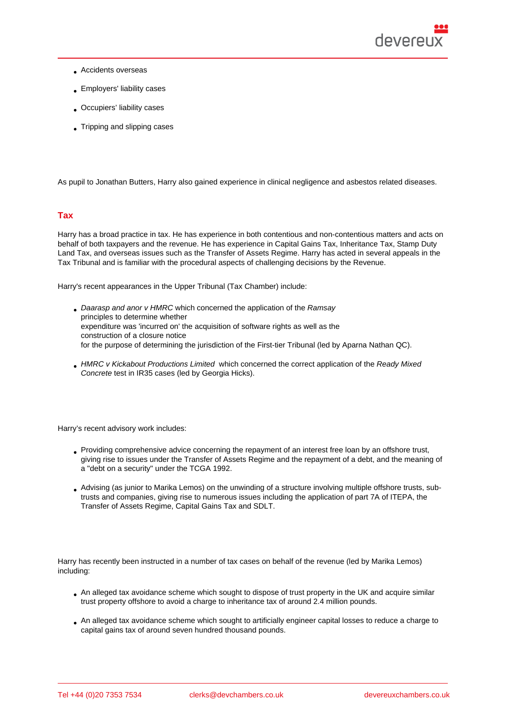- Accidents overseas
- Employers' liability cases
- Occupiers' liability cases
- Tripping and slipping cases

As pupil to Jonathan Butters, Harry also gained experience in clinical negligence and asbestos related diseases.

### Tax

Harry has a broad practice in tax. He has experience in both contentious and non-contentious matters and acts on behalf of both taxpayers and the revenue. He has experience in Capital Gains Tax, Inheritance Tax, Stamp Duty Land Tax, and overseas issues such as the Transfer of Assets Regime. Harry has acted in several appeals in the Tax Tribunal and is familiar with the procedural aspects of challenging decisions by the Revenue.

Harry's recent appearances in the Upper Tribunal (Tax Chamber) include:

- Daarasp and anor v HMRC which concerned the application of the Ramsay principles to determine whether expenditure was 'incurred on' the acquisition of software rights as well as the construction of a closure notice [for the purpose of determini](https://assets.publishing.service.gov.uk/media/6075834bd3bf7f4014aa853c/_1__Daarasp_LLP__2__Betex_LLP_v_HMRC.pdf)ng the jurisdiction of the First-tier Tribunal (led by Aparna Nathan QC).
- HMRC v Kickabout Productions Limited which concerned the correct application of the Ready Mixed Concrete test in IR35 cases (led by Georgia Hicks).

Harry's recent advisory work includes:

- Providing comprehensive advice concerning the repayment of an interest free loan by an offshore trust, giving rise to issues under the Transfer of Assets Regime and the repayment of a debt, and the meaning of a "debt on a security" under the TCGA 1992.
- Advising (as junior to Marika Lemos) on the unwinding of a structure involving multiple offshore trusts, subtrusts and companies, giving rise to numerous issues including the application of part 7A of ITEPA, the Transfer of Assets Regime, Capital Gains Tax and SDLT.

Harry has recently been instructed in a number of tax cases on behalf of the revenue (led by Marika Lemos) including:

- An alleged tax avoidance scheme which sought to dispose of trust property in the UK and acquire similar trust property offshore to avoid a charge to inheritance tax of around 2.4 million pounds.
- An alleged tax avoidance scheme which sought to artificially engineer capital losses to reduce a charge to capital gains tax of around seven hundred thousand pounds.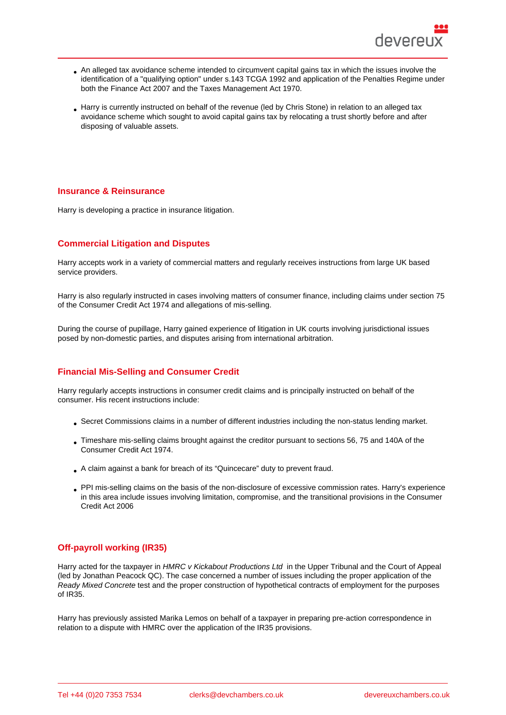- An alleged tax avoidance scheme intended to circumvent capital gains tax in which the issues involve the identification of a "qualifying option" under s.143 TCGA 1992 and application of the Penalties Regime under both the Finance Act 2007 and the Taxes Management Act 1970.
- Harry is currently instructed on behalf of the revenue (led by Chris Stone) in relation to an alleged tax avoidance scheme which sought to avoid capital gains tax by relocating a trust shortly before and after disposing of valuable assets.

#### Insurance & Reinsurance

Harry is developing a practice in insurance litigation.

## Commercial Litigation and Disputes

Harry accepts work in a variety of commercial matters and regularly receives instructions from large UK based service providers.

Harry is also regularly instructed in cases involving matters of consumer finance, including claims under section 75 of the Consumer Credit Act 1974 and allegations of mis-selling.

During the course of pupillage, Harry gained experience of litigation in UK courts involving jurisdictional issues posed by non-domestic parties, and disputes arising from international arbitration.

## Financial Mis-Selling and Consumer Credit

Harry regularly accepts instructions in consumer credit claims and is principally instructed on behalf of the consumer. His recent instructions include:

- Secret Commissions claims in a number of different industries including the non-status lending market.
- Timeshare mis-selling claims brought against the creditor pursuant to sections 56, 75 and 140A of the Consumer Credit Act 1974.
- A claim against a bank for breach of its "Quincecare" duty to prevent fraud.
- PPI mis-selling claims on the basis of the non-disclosure of excessive commission rates. Harry's experience in this area include issues involving limitation, compromise, and the transitional provisions in the Consumer Credit Act 2006

# Off-payroll working (IR35)

Harry acted for the taxpayer in HMRC v Kickabout Productions Ltd in the Upper Tribunal and the Court of Appeal (led by Jonathan Peacock QC). The case concerned a number of issues including the proper application of the Ready Mixed Concrete test and the proper construction of hypothetical contracts of employment for the purposes of IR35.

Harry has previously assisted Marika Lemos on behalf of a taxpayer in preparing pre-action correspondence in relation to a dispute with HMRC over the application of the IR35 provisions.